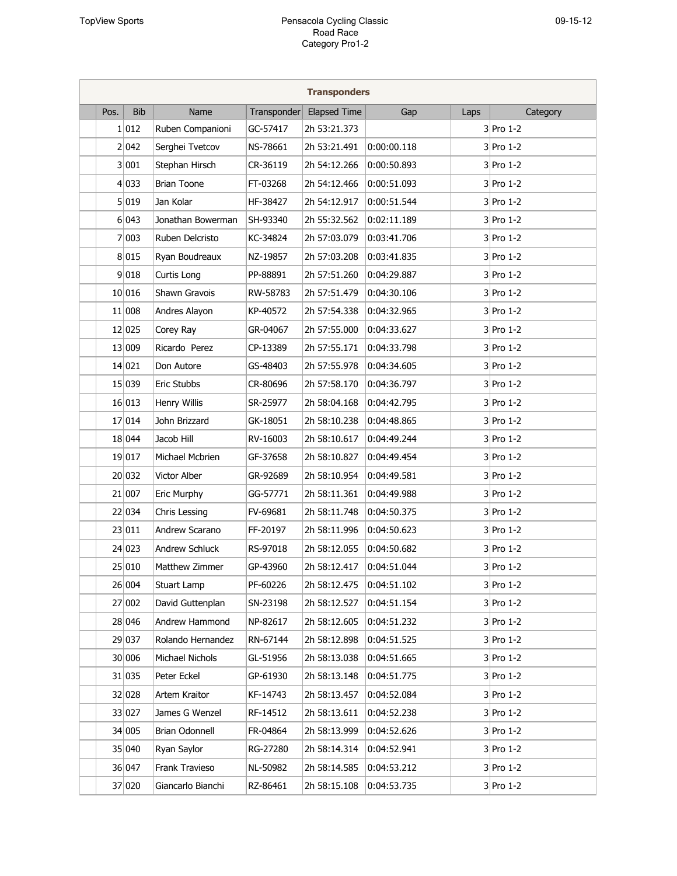| <b>Transponders</b> |      |            |                    |             |                     |             |      |             |  |  |
|---------------------|------|------------|--------------------|-------------|---------------------|-------------|------|-------------|--|--|
|                     | Pos. | <b>Bib</b> | Name               | Transponder | <b>Elapsed Time</b> | Gap         | Laps | Category    |  |  |
|                     |      | 1 012      | Ruben Companioni   | GC-57417    | 2h 53:21.373        |             |      | $3$ Pro 1-2 |  |  |
|                     |      | 2 042      | Serghei Tvetcov    | NS-78661    | 2h 53:21.491        | 0:00:00.118 |      | $3$ Pro 1-2 |  |  |
|                     |      | 3 001      | Stephan Hirsch     | CR-36119    | 2h 54:12.266        | 0:00:50.893 |      | $3$ Pro 1-2 |  |  |
|                     |      | 4 033      | <b>Brian Toone</b> | FT-03268    | 2h 54:12.466        | 0:00:51.093 |      | $3$ Pro 1-2 |  |  |
|                     |      | 5 019      | Jan Kolar          | HF-38427    | 2h 54:12.917        | 0:00:51.544 |      | $3$ Pro 1-2 |  |  |
|                     |      | 6 043      | Jonathan Bowerman  | SH-93340    | 2h 55:32.562        | 0:02:11.189 |      | $3$ Pro 1-2 |  |  |
|                     |      | 7 003      | Ruben Delcristo    | KC-34824    | 2h 57:03.079        | 0:03:41.706 |      | $3$ Pro 1-2 |  |  |
|                     |      | 8 015      | Ryan Boudreaux     | NZ-19857    | 2h 57:03.208        | 0:03:41.835 |      | $3$ Pro 1-2 |  |  |
|                     |      | 9 018      | Curtis Long        | PP-88891    | 2h 57:51.260        | 0:04:29.887 |      | $3$ Pro 1-2 |  |  |
|                     |      | 10 016     | Shawn Gravois      | RW-58783    | 2h 57:51.479        | 0:04:30.106 |      | $3$ Pro 1-2 |  |  |
|                     |      | 11 008     | Andres Alayon      | KP-40572    | 2h 57:54.338        | 0:04:32.965 |      | $3$ Pro 1-2 |  |  |
|                     |      | 12 025     | Corey Ray          | GR-04067    | 2h 57:55.000        | 0:04:33.627 |      | $3$ Pro 1-2 |  |  |
|                     |      | 13 009     | Ricardo Perez      | CP-13389    | 2h 57:55.171        | 0:04:33.798 |      | $3$ Pro 1-2 |  |  |
|                     |      | 14 021     | Don Autore         | GS-48403    | 2h 57:55.978        | 0:04:34.605 |      | $3$ Pro 1-2 |  |  |
|                     |      | 15 039     | Eric Stubbs        | CR-80696    | 2h 57:58.170        | 0:04:36.797 |      | $3$ Pro 1-2 |  |  |
|                     |      | 16 013     | Henry Willis       | SR-25977    | 2h 58:04.168        | 0:04:42.795 |      | $3$ Pro 1-2 |  |  |
|                     |      | 17 014     | John Brizzard      | GK-18051    | 2h 58:10.238        | 0:04:48.865 |      | $3$ Pro 1-2 |  |  |
|                     |      | 18 044     | Jacob Hill         | RV-16003    | 2h 58:10.617        | 0:04:49.244 |      | $3$ Pro 1-2 |  |  |
|                     |      | 19 017     | Michael Mcbrien    | GF-37658    | 2h 58:10.827        | 0:04:49.454 |      | $3$ Pro 1-2 |  |  |
|                     |      | 20 032     | Victor Alber       | GR-92689    | 2h 58:10.954        | 0:04:49.581 |      | $3$ Pro 1-2 |  |  |
|                     |      | 21 007     | Eric Murphy        | GG-57771    | 2h 58:11.361        | 0:04:49.988 |      | $3$ Pro 1-2 |  |  |
|                     |      | 22 034     | Chris Lessing      | FV-69681    | 2h 58:11.748        | 0:04:50.375 |      | $3$ Pro 1-2 |  |  |
|                     |      | 23 011     | Andrew Scarano     | FF-20197    | 2h 58:11.996        | 0:04:50.623 |      | $3$ Pro 1-2 |  |  |
|                     |      | 24 023     | Andrew Schluck     | RS-97018    | 2h 58:12.055        | 0:04:50.682 |      | $3$ Pro 1-2 |  |  |
|                     |      | 25 010     | Matthew Zimmer     | GP-43960    | 2h 58:12.417        | 0:04:51.044 |      | $3$ Pro 1-2 |  |  |
|                     |      | 26 004     | Stuart Lamp        | PF-60226    | 2h 58:12.475        | 0:04:51.102 |      | $3$ Pro 1-2 |  |  |
|                     |      | 27 002     | David Guttenplan   | SN-23198    | 2h 58:12.527        | 0:04:51.154 |      | $3$ Pro 1-2 |  |  |
|                     |      | 28 046     | Andrew Hammond     | NP-82617    | 2h 58:12.605        | 0:04:51.232 |      | $3$ Pro 1-2 |  |  |
|                     |      | 29 037     | Rolando Hernandez  | RN-67144    | 2h 58:12.898        | 0:04:51.525 |      | $3$ Pro 1-2 |  |  |
|                     |      | 30 006     | Michael Nichols    | GL-51956    | 2h 58:13.038        | 0:04:51.665 |      | $3$ Pro 1-2 |  |  |
|                     |      | 31 035     | Peter Eckel        | GP-61930    | 2h 58:13.148        | 0:04:51.775 |      | $3$ Pro 1-2 |  |  |
|                     |      | 32 028     | Artem Kraitor      | KF-14743    | 2h 58:13.457        | 0:04:52.084 |      | $3$ Pro 1-2 |  |  |
|                     |      | 33 027     | James G Wenzel     | RF-14512    | 2h 58:13.611        | 0:04:52.238 |      | $3$ Pro 1-2 |  |  |
|                     |      | 34 005     | Brian Odonnell     | FR-04864    | 2h 58:13.999        | 0:04:52.626 |      | $3$ Pro 1-2 |  |  |
|                     |      | 35 040     | Ryan Saylor        | RG-27280    | 2h 58:14.314        | 0:04:52.941 |      | $3$ Pro 1-2 |  |  |
|                     |      | 36 047     | Frank Travieso     | NL-50982    | 2h 58:14.585        | 0:04:53.212 |      | $3$ Pro 1-2 |  |  |
|                     |      | 37 020     | Giancarlo Bianchi  | RZ-86461    | 2h 58:15.108        | 0:04:53.735 |      | $3$ Pro 1-2 |  |  |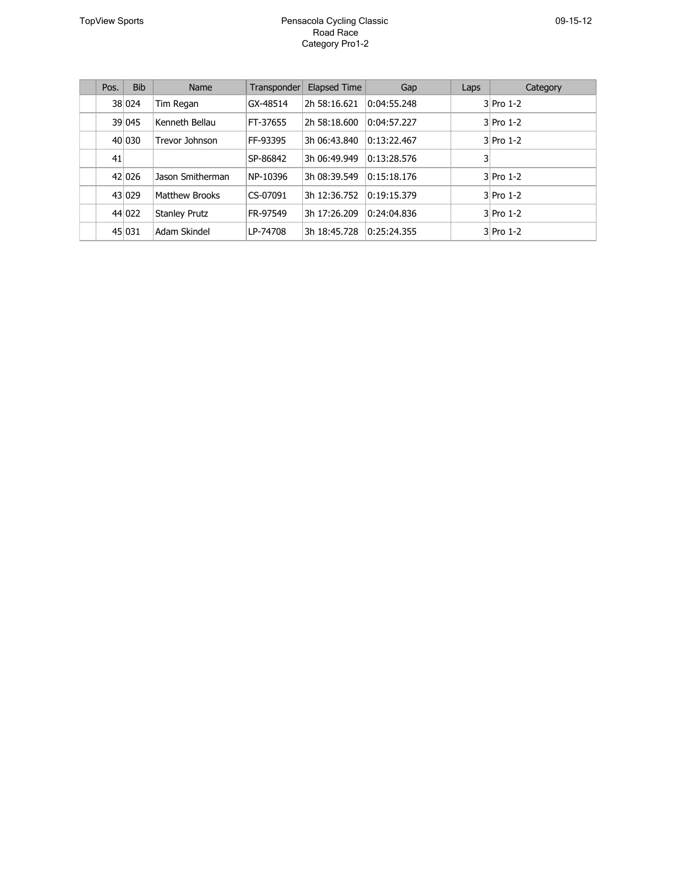| Pos. | <b>Bib</b> | Name                 | Transponder | <b>Elapsed Time</b> | Gap         | Laps | Category    |
|------|------------|----------------------|-------------|---------------------|-------------|------|-------------|
|      | 38 0 24    | Tim Regan            | GX-48514    | 2h 58:16.621        | 0:04:55.248 |      | $3$ Pro 1-2 |
|      | 39 045     | Kenneth Bellau       | FT-37655    | 2h 58:18.600        | 0:04:57.227 |      | $3$ Pro 1-2 |
|      | 40 030     | Trevor Johnson       | FF-93395    | 3h 06:43.840        | 0:13:22.467 |      | $3$ Pro 1-2 |
| 41   |            |                      | SP-86842    | 3h 06:49.949        | 0:13:28.576 | 3    |             |
|      | 42 026     | Jason Smitherman     | NP-10396    | 3h 08:39.549        | 0:15:18.176 |      | $3$ Pro 1-2 |
|      | 43 029     | Matthew Brooks       | CS-07091    | 3h 12:36.752        | 0:19:15.379 |      | $3$ Pro 1-2 |
|      | 44 022     | <b>Stanley Prutz</b> | FR-97549    | 3h 17:26.209        | 0:24:04.836 |      | $3$ Pro 1-2 |
|      | 45 031     | Adam Skindel         | LP-74708    | 3h 18:45.728        | 0:25:24.355 |      | $3$ Pro 1-2 |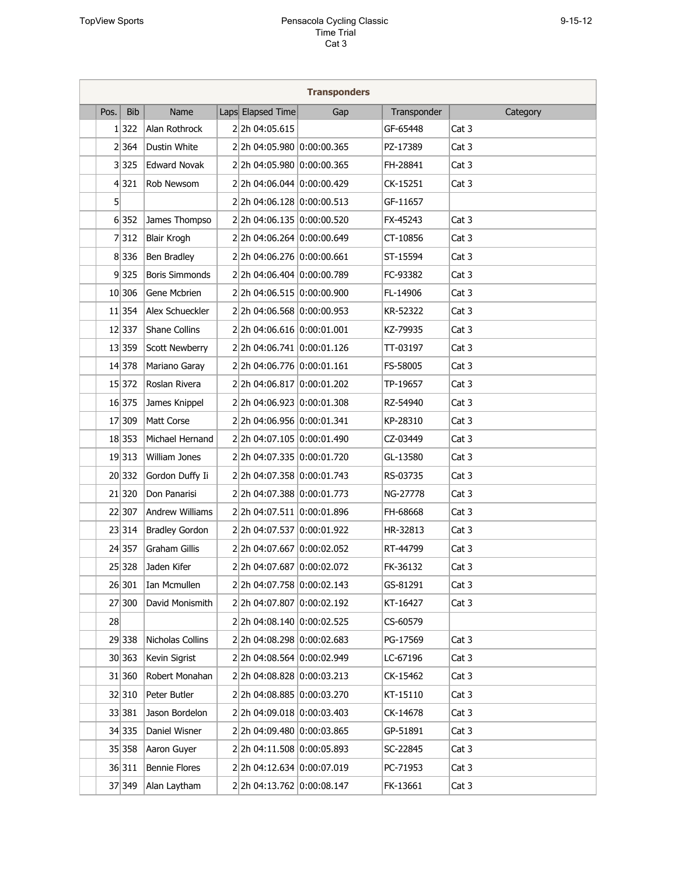|      |            |                        |                            | <b>Transponders</b> |             |          |
|------|------------|------------------------|----------------------------|---------------------|-------------|----------|
| Pos. | <b>Bib</b> | Name                   | Laps Elapsed Time          | Gap                 | Transponder | Category |
|      | 1 322      | Alan Rothrock          | 2 2h 04:05.615             |                     | GF-65448    | Cat 3    |
|      | 2 364      | Dustin White           | 2 2h 04:05.980 0:00:00.365 |                     | PZ-17389    | Cat 3    |
|      | 3 325      | <b>Edward Novak</b>    | 2 2h 04:05.980 0:00:00.365 |                     | FH-28841    | Cat 3    |
|      | 4 321      | Rob Newsom             | 2 2h 04:06.044 0:00:00.429 |                     | CK-15251    | Cat 3    |
| 5    |            |                        | 2 2h 04:06.128 0:00:00.513 |                     | GF-11657    |          |
|      | 6 352      | James Thompso          | 2 2h 04:06.135 0:00:00.520 |                     | FX-45243    | Cat 3    |
|      | 7 312      | <b>Blair Krogh</b>     | 2 2h 04:06.264 0:00:00.649 |                     | CT-10856    | Cat 3    |
|      | 8 336      | Ben Bradley            | 2 2h 04:06.276 0:00:00.661 |                     | ST-15594    | Cat 3    |
|      | 9 325      | <b>Boris Simmonds</b>  | 2 2h 04:06.404 0:00:00.789 |                     | FC-93382    | Cat 3    |
|      | 10 306     | Gene Mcbrien           | 2 2h 04:06.515 0:00:00.900 |                     | FL-14906    | Cat 3    |
|      | 11 354     | Alex Schueckler        | 2 2h 04:06.568 0:00:00.953 |                     | KR-52322    | Cat 3    |
|      | 12 337     | Shane Collins          | 2 2h 04:06.616 0:00:01.001 |                     | KZ-79935    | Cat 3    |
|      | 13 359     | <b>Scott Newberry</b>  | 2 2h 04:06.741 0:00:01.126 |                     | TT-03197    | Cat 3    |
|      | 14 378     | Mariano Garay          | 22h 04:06.776 0:00:01.161  |                     | FS-58005    | Cat 3    |
|      | 15 372     | Roslan Rivera          | 2 2h 04:06.817 0:00:01.202 |                     | TP-19657    | Cat 3    |
|      | 16 375     | James Knippel          | 2 2h 04:06.923 0:00:01.308 |                     | RZ-54940    | Cat 3    |
|      | 17 309     | Matt Corse             | 2 2h 04:06.956 0:00:01.341 |                     | KP-28310    | Cat 3    |
|      | 18 353     | Michael Hernand        | 2 2h 04:07.105 0:00:01.490 |                     | CZ-03449    | Cat 3    |
|      | 19 313     | William Jones          | 2 2h 04:07.335 0:00:01.720 |                     | GL-13580    | Cat 3    |
|      | 20 332     | Gordon Duffy Ii        | 2 2h 04:07.358 0:00:01.743 |                     | RS-03735    | Cat 3    |
|      | 21 320     | Don Panarisi           | 2 2h 04:07.388 0:00:01.773 |                     | NG-27778    | Cat 3    |
|      | 22 307     | <b>Andrew Williams</b> | 22h 04:07.511 0:00:01.896  |                     | FH-68668    | Cat 3    |
|      | 23 314     | <b>Bradley Gordon</b>  | 2 2h 04:07.537 0:00:01.922 |                     | HR-32813    | Cat 3    |
|      | 24 357     | <b>Graham Gillis</b>   | 2 2h 04:07.667 0:00:02.052 |                     | RT-44799    | Cat 3    |
|      | 25 328     | Jaden Kifer            | 2 2h 04:07.687 0:00:02.072 |                     | FK-36132    | Cat 3    |
|      | 26 301     | Ian Mcmullen           | 22h 04:07.758 0:00:02.143  |                     | GS-81291    | Cat 3    |
|      | 27 300     | David Monismith        | 22h 04:07.807 0:00:02.192  |                     | KT-16427    | Cat 3    |
| 28   |            |                        | 22h 04:08.140 0:00:02.525  |                     | CS-60579    |          |
|      | 29 338     | Nicholas Collins       | 2 2h 04:08.298 0:00:02.683 |                     | PG-17569    | Cat 3    |
|      | 30 363     | Kevin Sigrist          | 2 2h 04:08.564 0:00:02.949 |                     | LC-67196    | Cat 3    |
|      | 31 360     | Robert Monahan         | 22h 04:08.828 0:00:03.213  |                     | CK-15462    | Cat 3    |
|      | 32 310     | Peter Butler           | 22h 04:08.885 0:00:03.270  |                     | KT-15110    | Cat 3    |
|      | 33 381     | Jason Bordelon         | 22h 04:09.018 0:00:03.403  |                     | CK-14678    | Cat 3    |
|      | 34 335     | Daniel Wisner          | 22h 04:09.480 0:00:03.865  |                     | GP-51891    | Cat 3    |
|      | 35 358     | Aaron Guyer            | 22h 04:11.508 0:00:05.893  |                     | SC-22845    | Cat 3    |
|      | 36 311     | <b>Bennie Flores</b>   | 22h 04:12.634 0:00:07.019  |                     | PC-71953    | Cat 3    |
|      | 37 349     | Alan Laytham           | 2 2h 04:13.762 0:00:08.147 |                     | FK-13661    | Cat 3    |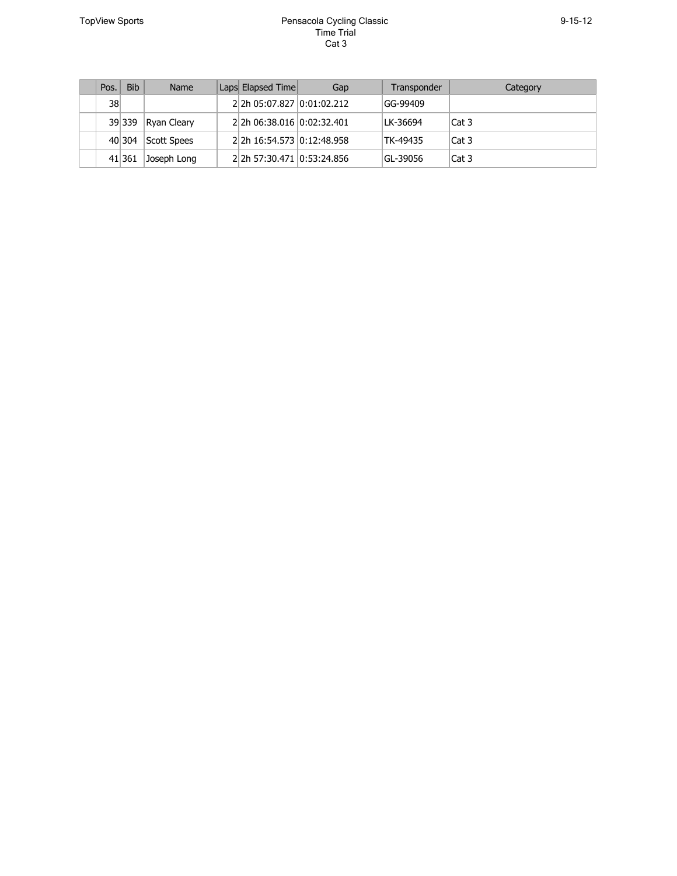| Pos. | <b>Bib</b> | Name        | Laps Elapsed Time          | Gap | Transponder | Category |
|------|------------|-------------|----------------------------|-----|-------------|----------|
| $38$ |            |             | 2 2h 05:07.827 0:01:02.212 |     | GG-99409    |          |
|      | 39 339     | Ryan Cleary | 2 2h 06:38.016 0:02:32.401 |     | LK-36694    | Cat 3    |
|      | 40 304     | Scott Spees | 2 2h 16:54.573 0:12:48.958 |     | TK-49435    | Cat 3    |
|      | 41 361     | Joseph Long | 2 2h 57:30.471 0:53:24.856 |     | GL-39056    | Cat 3    |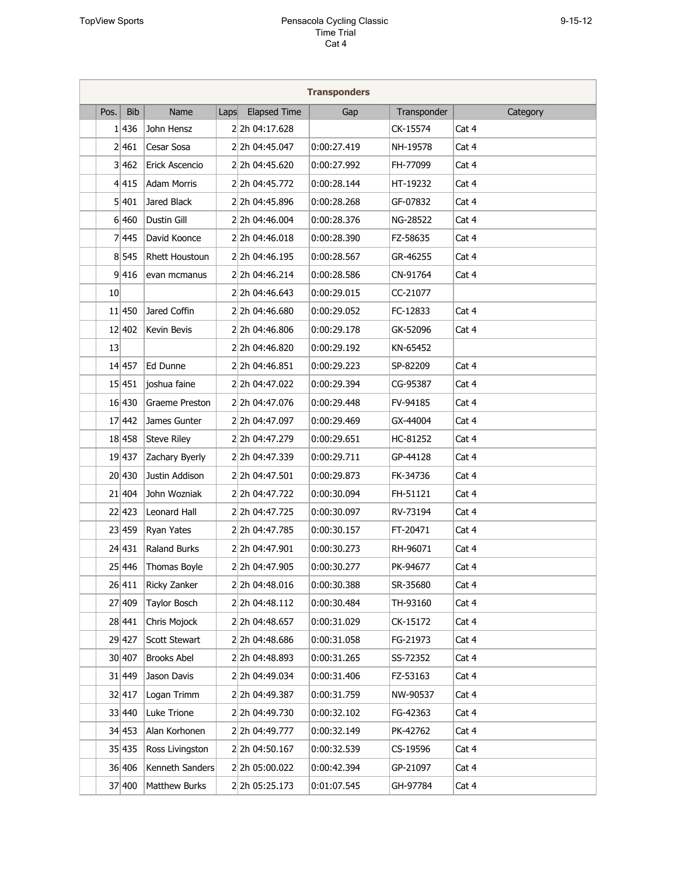| <b>Transponders</b> |            |                       |      |                     |             |             |          |  |
|---------------------|------------|-----------------------|------|---------------------|-------------|-------------|----------|--|
| Pos.                | <b>Bib</b> | Name                  | Laps | <b>Elapsed Time</b> | Gap         | Transponder | Category |  |
|                     | 1 436      | John Hensz            |      | 2 2h 04:17.628      |             | CK-15574    | Cat 4    |  |
|                     | 2 461      | Cesar Sosa            |      | 2 2h 04:45.047      | 0:00:27.419 | NH-19578    | Cat 4    |  |
|                     | 3 462      | Erick Ascencio        |      | 2 2h 04:45.620      | 0:00:27.992 | FH-77099    | Cat 4    |  |
|                     | 4 415      | <b>Adam Morris</b>    |      | 2 2h 04:45.772      | 0:00:28.144 | HT-19232    | Cat 4    |  |
|                     | 5 401      | Jared Black           |      | 2 2h 04:45.896      | 0:00:28.268 | GF-07832    | Cat 4    |  |
|                     | 6 460      | Dustin Gill           |      | 2 2h 04:46.004      | 0:00:28.376 | NG-28522    | Cat 4    |  |
|                     | 7 445      | David Koonce          |      | 2 2h 04:46.018      | 0:00:28.390 | FZ-58635    | Cat 4    |  |
|                     | 8 545      | <b>Rhett Houstoun</b> |      | 2 2h 04:46.195      | 0:00:28.567 | GR-46255    | Cat 4    |  |
|                     | 9 416      | evan mcmanus          |      | 2 2h 04:46.214      | 0:00:28.586 | CN-91764    | Cat 4    |  |
| 10                  |            |                       |      | 2 2h 04:46.643      | 0:00:29.015 | CC-21077    |          |  |
|                     | 11 450     | Jared Coffin          |      | 2 2h 04:46.680      | 0:00:29.052 | FC-12833    | Cat 4    |  |
|                     | 12 402     | Kevin Bevis           |      | 2 2h 04:46.806      | 0:00:29.178 | GK-52096    | Cat 4    |  |
| 13                  |            |                       |      | 2 2h 04:46.820      | 0:00:29.192 | KN-65452    |          |  |
|                     | 14 457     | Ed Dunne              |      | 2 2h 04:46.851      | 0:00:29.223 | SP-82209    | Cat 4    |  |
|                     | 15 451     | joshua faine          |      | 2 2h 04:47.022      | 0:00:29.394 | CG-95387    | Cat 4    |  |
|                     | 16 430     | Graeme Preston        |      | 2 2h 04:47.076      | 0:00:29.448 | FV-94185    | Cat 4    |  |
|                     | 17 442     | James Gunter          |      | 2 2h 04:47.097      | 0:00:29.469 | GX-44004    | Cat 4    |  |
|                     | 18 458     | <b>Steve Riley</b>    |      | 2 2h 04:47.279      | 0:00:29.651 | HC-81252    | Cat 4    |  |
|                     | 19 437     | Zachary Byerly        |      | 2 2h 04:47.339      | 0:00:29.711 | GP-44128    | Cat 4    |  |
|                     | 20 430     | Justin Addison        |      | 2 2h 04:47.501      | 0:00:29.873 | FK-34736    | Cat 4    |  |
|                     | 21 404     | John Wozniak          |      | 2 2h 04:47.722      | 0:00:30.094 | FH-51121    | Cat 4    |  |
|                     | 22 423     | <b>Leonard Hall</b>   |      | 2 2h 04:47.725      | 0:00:30.097 | RV-73194    | Cat 4    |  |
|                     | 23 459     | <b>Ryan Yates</b>     |      | 2 2h 04:47.785      | 0:00:30.157 | FT-20471    | Cat 4    |  |
|                     | 24 431     | <b>Raland Burks</b>   |      | 2 2h 04:47.901      | 0:00:30.273 | RH-96071    | Cat 4    |  |
|                     | 25 446     | Thomas Boyle          |      | 2 2h 04:47.905      | 0:00:30.277 | PK-94677    | Cat 4    |  |
|                     | 26 411     | Ricky Zanker          |      | 2 2h 04:48.016      | 0:00:30.388 | SR-35680    | Cat 4    |  |
|                     | 27 409     | Taylor Bosch          |      | 2 2h 04:48.112      | 0:00:30.484 | TH-93160    | Cat 4    |  |
|                     | 28 441     | Chris Mojock          |      | 2 2h 04:48.657      | 0:00:31.029 | CK-15172    | Cat 4    |  |
|                     | 29 427     | Scott Stewart         |      | 2 2h 04:48.686      | 0:00:31.058 | FG-21973    | Cat 4    |  |
|                     | 30 407     | <b>Brooks Abel</b>    |      | 2 2h 04:48.893      | 0:00:31.265 | SS-72352    | Cat 4    |  |
|                     | 31 449     | Jason Davis           |      | 2 2h 04:49.034      | 0:00:31.406 | FZ-53163    | Cat 4    |  |
|                     | 32 417     | Logan Trimm           |      | 2 2h 04:49.387      | 0:00:31.759 | NW-90537    | Cat 4    |  |
|                     | 33 440     | Luke Trione           |      | 2 2h 04:49.730      | 0:00:32.102 | FG-42363    | Cat 4    |  |
|                     | 34 453     | Alan Korhonen         |      | 2 2h 04:49.777      | 0:00:32.149 | PK-42762    | Cat 4    |  |
|                     | 35 435     | Ross Livingston       |      | 2 2h 04:50.167      | 0:00:32.539 | CS-19596    | Cat 4    |  |
|                     | 36 406     | Kenneth Sanders       |      | 2 2h 05:00.022      | 0:00:42.394 | GP-21097    | Cat 4    |  |
|                     | 37 400     | Matthew Burks         |      | 22h 05:25.173       | 0:01:07.545 | GH-97784    | Cat 4    |  |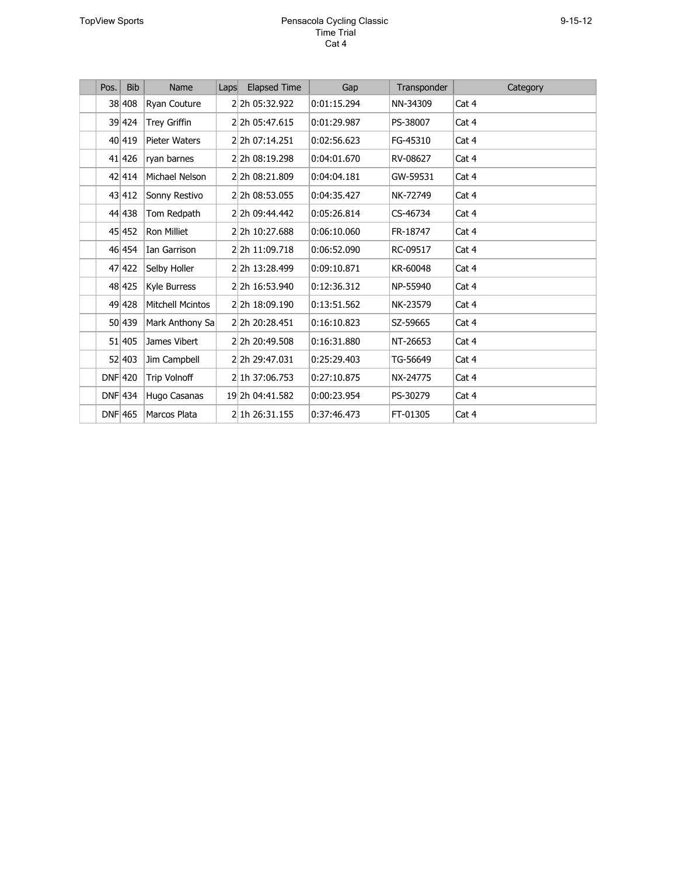#### TopView Sports **Pensacola Cycling Classic** F CUX F UW Cat 4

| Pos.      | <b>Bib</b> | Name                    | Laps | <b>Elapsed Time</b> | Gap         | Transponder | Category |
|-----------|------------|-------------------------|------|---------------------|-------------|-------------|----------|
|           | 38 408     | Ryan Couture            |      | 2 2h 05:32.922      | 0:01:15.294 | NN-34309    | Cat 4    |
|           | 39 424     | <b>Trey Griffin</b>     |      | 2 2h 05:47.615      | 0:01:29.987 | PS-38007    | Cat 4    |
|           | 40 419     | <b>Pieter Waters</b>    |      | 2 2h 07:14.251      | 0:02:56.623 | FG-45310    | Cat 4    |
|           | 41 426     | ryan barnes             |      | 2 2h 08:19.298      | 0:04:01.670 | RV-08627    | Cat 4    |
|           | 42 414     | Michael Nelson          |      | 2 2h 08:21.809      | 0:04:04.181 | GW-59531    | Cat 4    |
|           | 43 412     | Sonny Restivo           |      | 2 2h 08:53.055      | 0:04:35.427 | NK-72749    | Cat 4    |
|           | 44 438     | Tom Redpath             |      | 2 2h 09:44.442      | 0:05:26.814 | CS-46734    | Cat 4    |
|           | 45 452     | <b>Ron Milliet</b>      |      | 2 2h 10:27.688      | 0:06:10.060 | FR-18747    | Cat 4    |
|           | 46 454     | Ian Garrison            |      | 2 2h 11:09.718      | 0:06:52.090 | RC-09517    | Cat 4    |
|           | 47 422     | Selby Holler            |      | 2 2h 13:28.499      | 0:09:10.871 | KR-60048    | Cat 4    |
|           | 48 425     | Kyle Burress            |      | 2 2h 16:53.940      | 0.12:36.312 | NP-55940    | Cat 4    |
|           | 49 428     | <b>Mitchell Mcintos</b> |      | 2 2h 18:09.190      | 0.13:51.562 | NK-23579    | Cat 4    |
|           | 50 439     | Mark Anthony Sa         |      | 2 2h 20:28.451      | 0.16:10.823 | SZ-59665    | Cat 4    |
|           | 51 405     | James Vibert            |      | 2 2h 20:49.508      | 0.16:31.880 | NT-26653    | Cat 4    |
|           | 52 403     | Jim Campbell            |      | 2 2h 29:47.031      | 0.25:29.403 | TG-56649    | Cat 4    |
| $DNF$ 420 |            | <b>Trip Volnoff</b>     |      | 2 1h 37:06.753      | 0:27:10.875 | NX-24775    | Cat 4    |
| $DNF$ 434 |            | Hugo Casanas            |      | 19 2h 04:41.582     | 0:00:23.954 | PS-30279    | Cat 4    |
| DNF 465   |            | Marcos Plata            |      | 2 1h 26:31.155      | 0.37:46.473 | FT-01305    | Cat 4    |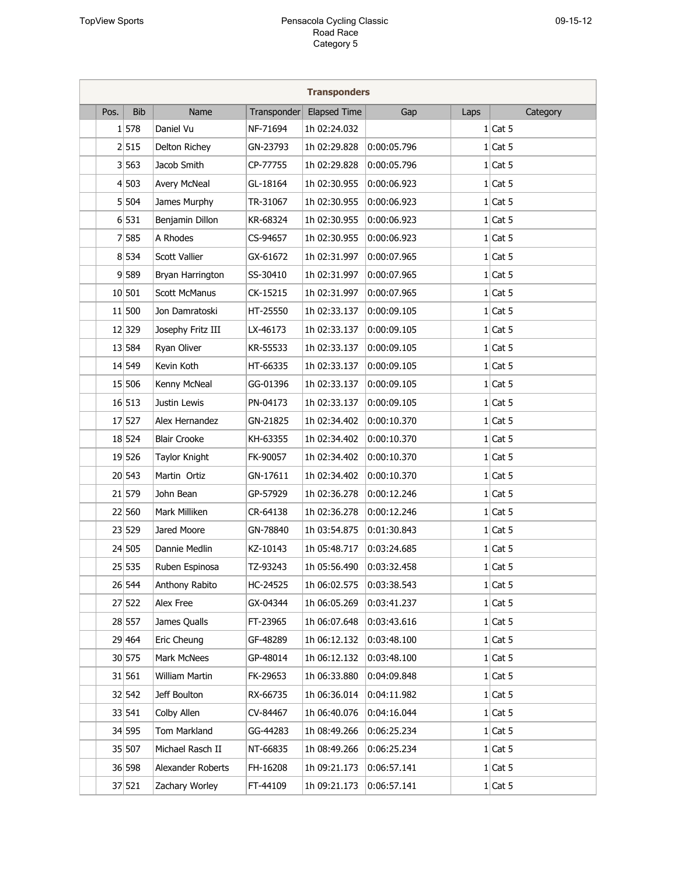| <b>Transponders</b> |            |                      |             |                     |             |      |           |  |  |
|---------------------|------------|----------------------|-------------|---------------------|-------------|------|-----------|--|--|
| Pos.                | <b>Bib</b> | Name                 | Transponder | <b>Elapsed Time</b> | Gap         | Laps | Category  |  |  |
|                     | 1 578      | Daniel Vu            | NF-71694    | 1h 02:24.032        |             |      | $1$ Cat 5 |  |  |
|                     | 2 515      | Delton Richey        | GN-23793    | 1h 02:29.828        | 0:00:05.796 |      | $1$ Cat 5 |  |  |
|                     | 3 563      | Jacob Smith          | CP-77755    | 1h 02:29.828        | 0:00:05.796 |      | $1$ Cat 5 |  |  |
|                     | 4 503      | <b>Avery McNeal</b>  | GL-18164    | 1h 02:30.955        | 0:00:06.923 |      | $1$ Cat 5 |  |  |
|                     | 5 504      | James Murphy         | TR-31067    | 1h 02:30.955        | 0:00:06.923 |      | $1$ Cat 5 |  |  |
|                     | 6 531      | Benjamin Dillon      | KR-68324    | 1h 02:30.955        | 0:00:06.923 |      | $1$ Cat 5 |  |  |
|                     | 7 585      | A Rhodes             | CS-94657    | 1h 02:30.955        | 0:00:06.923 |      | $1$ Cat 5 |  |  |
|                     | 8 534      | <b>Scott Vallier</b> | GX-61672    | 1h 02:31.997        | 0:00:07.965 |      | $1$ Cat 5 |  |  |
|                     | 9 589      | Bryan Harrington     | SS-30410    | 1h 02:31.997        | 0:00:07.965 |      | $1$ Cat 5 |  |  |
|                     | 10 501     | <b>Scott McManus</b> | CK-15215    | 1h 02:31.997        | 0:00:07.965 |      | $1$ Cat 5 |  |  |
|                     | 11 500     | Jon Damratoski       | HT-25550    | 1h 02:33.137        | 0:00:09.105 |      | $1$ Cat 5 |  |  |
|                     | 12 329     | Josephy Fritz III    | LX-46173    | 1h 02:33.137        | 0:00:09.105 |      | $1$ Cat 5 |  |  |
|                     | 13 584     | Ryan Oliver          | KR-55533    | 1h 02:33.137        | 0:00:09.105 |      | $1$ Cat 5 |  |  |
|                     | 14 549     | Kevin Koth           | HT-66335    | 1h 02:33.137        | 0:00:09.105 |      | $1$ Cat 5 |  |  |
|                     | 15 506     | Kenny McNeal         | GG-01396    | 1h 02:33.137        | 0:00:09.105 |      | $1$ Cat 5 |  |  |
|                     | 16 513     | Justin Lewis         | PN-04173    | 1h 02:33.137        | 0:00:09.105 |      | $1$ Cat 5 |  |  |
|                     | 17 527     | Alex Hernandez       | GN-21825    | 1h 02:34.402        | 0:00:10.370 |      | $1$ Cat 5 |  |  |
|                     | 18 524     | <b>Blair Crooke</b>  | KH-63355    | 1h 02:34.402        | 0:00:10.370 |      | $1$ Cat 5 |  |  |
|                     | 19 526     | Taylor Knight        | FK-90057    | 1h 02:34.402        | 0:00:10.370 |      | $1$ Cat 5 |  |  |
|                     | 20 543     | Martin Ortiz         | GN-17611    | 1h 02:34.402        | 0:00:10.370 |      | $1$ Cat 5 |  |  |
|                     | 21 579     | John Bean            | GP-57929    | 1h 02:36.278        | 0:00:12.246 |      | $1$ Cat 5 |  |  |
|                     | 22 560     | Mark Milliken        | CR-64138    | 1h 02:36.278        | 0:00:12.246 |      | $1$ Cat 5 |  |  |
|                     | 23 529     | Jared Moore          | GN-78840    | 1h 03:54.875        | 0:01:30.843 |      | $1$ Cat 5 |  |  |
|                     | 24 505     | Dannie Medlin        | KZ-10143    | 1h 05:48.717        | 0:03:24.685 |      | $1$ Cat 5 |  |  |
|                     | 25 535     | Ruben Espinosa       | TZ-93243    | 1h 05:56.490        | 0:03:32.458 |      | $1$ Cat 5 |  |  |
|                     | 26 544     | Anthony Rabito       | HC-24525    | 1h 06:02.575        | 0:03:38.543 |      | $1$ Cat 5 |  |  |
|                     | 27 522     | Alex Free            | GX-04344    | 1h 06:05.269        | 0:03:41.237 |      | $1$ Cat 5 |  |  |
|                     | 28 557     | James Qualls         | FT-23965    | 1h 06:07.648        | 0:03:43.616 |      | $1$ Cat 5 |  |  |
|                     | 29 464     | Eric Cheung          | GF-48289    | 1h 06:12.132        | 0:03:48.100 |      | $1$ Cat 5 |  |  |
|                     | 30 575     | Mark McNees          | GP-48014    | 1h 06:12.132        | 0:03:48.100 |      | $1$ Cat 5 |  |  |
|                     | 31 561     | William Martin       | FK-29653    | 1h 06:33.880        | 0:04:09.848 |      | $1$ Cat 5 |  |  |
|                     | 32 542     | Jeff Boulton         | RX-66735    | 1h 06:36.014        | 0:04:11.982 |      | $1$ Cat 5 |  |  |
|                     | 33 541     | Colby Allen          | CV-84467    | 1h 06:40.076        | 0:04:16.044 |      | $1$ Cat 5 |  |  |
|                     | 34 595     | Tom Markland         | GG-44283    | 1h 08:49.266        | 0:06:25.234 |      | $1$ Cat 5 |  |  |
|                     | 35 507     | Michael Rasch II     | NT-66835    | 1h 08:49.266        | 0:06:25.234 |      | $1$ Cat 5 |  |  |
|                     | 36 598     | Alexander Roberts    | FH-16208    | 1h 09:21.173        | 0:06:57.141 |      | $1$ Cat 5 |  |  |
|                     | 37 521     | Zachary Worley       | FT-44109    | 1h 09:21.173        | 0:06:57.141 |      | $1$ Cat 5 |  |  |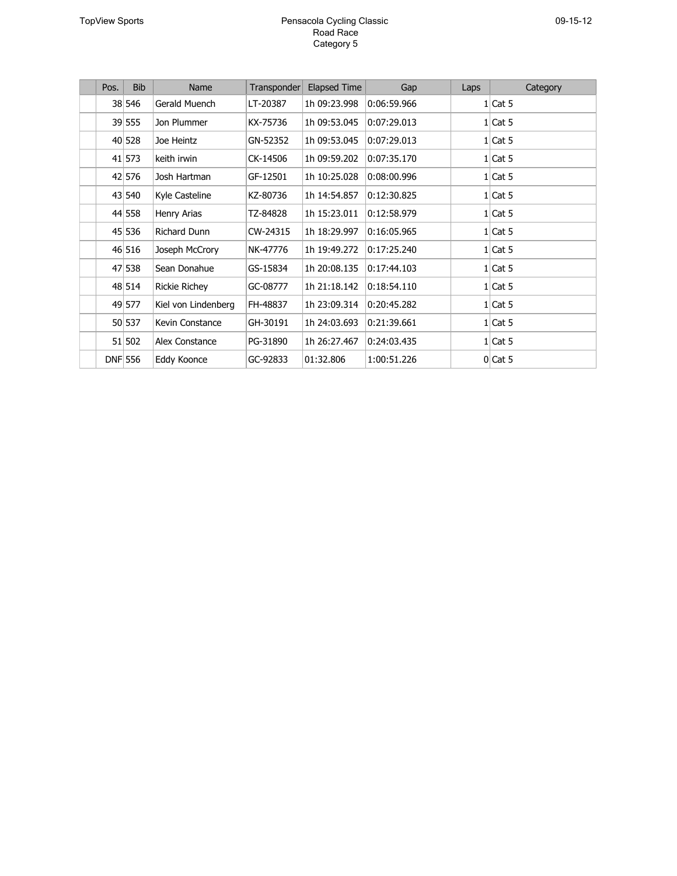#### TopView Sports **Pensacola Cycling Classic** Road Race Category 5

| Pos. | <b>Bib</b>     | Name                | Transponder | <b>Elapsed Time</b> | Gap         | Laps | Category  |
|------|----------------|---------------------|-------------|---------------------|-------------|------|-----------|
|      | 38 546         | Gerald Muench       | LT-20387    | 1h 09:23.998        | 0:06:59.966 |      | $1$ Cat 5 |
|      | 39 555         | Jon Plummer         | KX-75736    | 1h 09:53.045        | 0:07:29.013 |      | $1$ Cat 5 |
|      | 40 528         | Joe Heintz          | GN-52352    | 1h 09:53.045        | 0:07:29.013 |      | $1$ Cat 5 |
|      | 41 573         | keith irwin         | CK-14506    | 1h 09:59.202        | 0:07:35.170 |      | $1$ Cat 5 |
|      | 42 576         | Josh Hartman        | GF-12501    | 1h 10:25.028        | 0:08:00.996 |      | $1$ Cat 5 |
|      | 43 540         | Kyle Casteline      | KZ-80736    | 1h 14:54.857        | 0.12.30.825 |      | $1$ Cat 5 |
|      | 44 558         | Henry Arias         | TZ-84828    | 1h 15:23.011        | 0:12:58.979 |      | $1$ Cat 5 |
|      | 45 536         | <b>Richard Dunn</b> | CW-24315    | 1h 18:29.997        | 0:16:05.965 |      | $1$ Cat 5 |
|      | 46 516         | Joseph McCrory      | NK-47776    | 1h 19:49.272        | 0.17:25.240 |      | $1$ Cat 5 |
|      | 47 538         | Sean Donahue        | GS-15834    | 1h 20:08.135        | 0.17:44.103 |      | $1$ Cat 5 |
|      | 48 514         | Rickie Richey       | GC-08777    | 1h 21:18.142        | 0:18:54.110 |      | $1$ Cat 5 |
|      | 49 577         | Kiel von Lindenberg | FH-48837    | 1h 23:09.314        | 0:20:45.282 |      | $1$ Cat 5 |
|      | 50 537         | Kevin Constance     | GH-30191    | 1h 24:03.693        | 0.21:39.661 |      | $1$ Cat 5 |
|      | 51 502         | Alex Constance      | PG-31890    | 1h 26:27.467        | 0:24:03.435 |      | $1$ Cat 5 |
|      | <b>DNF 556</b> | Eddy Koonce         | GC-92833    | 01:32.806           | 1:00:51.226 |      | $0$ Cat 5 |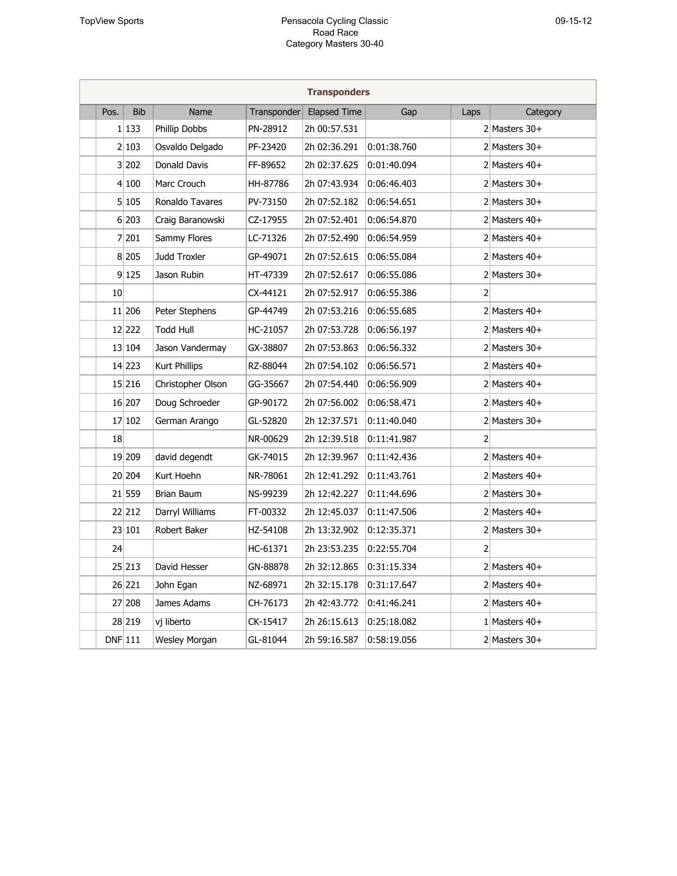|           |            |                   |             | <b>Transponders</b> |             |                |                   |
|-----------|------------|-------------------|-------------|---------------------|-------------|----------------|-------------------|
| Pos.      | <b>Bib</b> | Name              | Transponder | <b>Elapsed Time</b> | Gap         | Laps           | Category          |
|           | 1 133      | Phillip Dobbs     | PN-28912    | 2h 00:57.531        |             |                | $2$ Masters 30+   |
|           | 2 103      | Osvaldo Delgado   | PF-23420    | 2h 02:36.291        | 0:01:38.760 |                | $2$ Masters 30+   |
|           | $3$ 202    | Donald Davis      | FF-89652    | 2h 02:37.625        | 0:01:40.094 |                | $2$ Masters $40+$ |
|           | 4 100      | Marc Crouch       | HH-87786    | 2h 07:43.934        | 0:06:46.403 |                | $2$ Masters $30+$ |
|           | 5 105      | Ronaldo Tavares   | PV-73150    | 2h 07:52.182        | 0:06:54.651 |                | $2$ Masters 30+   |
|           | 6 203      | Craig Baranowski  | CZ-17955    | 2h 07:52.401        | 0:06:54.870 |                | $2$ Masters $40+$ |
|           | 7 201      | Sammy Flores      | LC-71326    | 2h 07:52.490        | 0:06:54.959 |                | 2 Masters $40+$   |
|           | 8 205      | Judd Troxler      | GP-49071    | 2h 07:52.615        | 0:06:55.084 |                | $2$ Masters 40+   |
|           | 9 125      | Jason Rubin       | HT-47339    | 2h 07:52.617        | 0:06:55.086 |                | $2$ Masters $30+$ |
| 10        |            |                   | CX-44121    | 2h 07:52.917        | 0:06:55.386 | $\overline{2}$ |                   |
|           | 11 206     | Peter Stephens    | GP-44749    | 2h 07:53.216        | 0:06:55.685 |                | 2 Masters $40+$   |
|           | 12 222     | Todd Hull         | HC-21057    | 2h 07:53.728        | 0:06:56.197 |                | $2$ Masters 40+   |
|           | 13 104     | Jason Vandermay   | GX-38807    | 2h 07:53.863        | 0:06:56.332 |                | $2$ Masters $30+$ |
|           | 14 223     | Kurt Phillips     | RZ-88044    | 2h 07:54.102        | 0:06:56.571 |                | 2 Masters $40+$   |
|           | 15 216     | Christopher Olson | GG-35667    | 2h 07:54.440        | 0:06:56.909 |                | 2 Masters $40+$   |
|           | 16 207     | Doug Schroeder    | GP-90172    | 2h 07:56.002        | 0:06:58.471 |                | 2 Masters $40+$   |
|           | 17 102     | German Arango     | GL-52820    | 2h 12:37.571        | 0:11:40.040 |                | $2$ Masters $30+$ |
| 18        |            |                   | NR-00629    | 2h 12:39.518        | 0:11:41.987 | 2              |                   |
|           | 19 209     | david degendt     | GK-74015    | 2h 12:39.967        | 0:11:42.436 |                | 2 Masters $40+$   |
|           | 20 204     | Kurt Hoehn        | NR-78061    | 2h 12:41.292        | 0:11:43.761 |                | 2 Masters $40+$   |
|           | 21 559     | Brian Baum        | NS-99239    | 2h 12:42.227        | 0:11:44.696 |                | $2$ Masters $30+$ |
|           | 22 212     | Darryl Williams   | FT-00332    | 2h 12:45.037        | 0:11:47.506 |                | 2 Masters $40+$   |
|           | 23 101     | Robert Baker      | HZ-54108    | 2h 13:32.902        | 0:12:35.371 |                | $2$ Masters 30+   |
| 24        |            |                   | HC-61371    | 2h 23:53.235        | 0:22:55.704 | 2              |                   |
|           | 25 213     | David Hesser      | GN-88878    | 2h 32:12.865        | 0:31:15.334 |                | 2 Masters $40+$   |
|           | 26 221     | John Egan         | NZ-68971    | 2h 32:15.178        | 0:31:17.647 |                | 2 Masters $40+$   |
|           | 27 208     | James Adams       | CH-76173    | 2h 42:43.772        | 0:41:46.241 |                | 2 Masters $40+$   |
|           | 28 219     | vj liberto        | CK-15417    | 2h 26:15.613        | 0:25:18.082 |                | 1 Masters $40+$   |
| $DNF$ 111 |            | Wesley Morgan     | GL-81044    | 2h 59:16.587        | 0:58:19.056 |                | $2$ Masters $30+$ |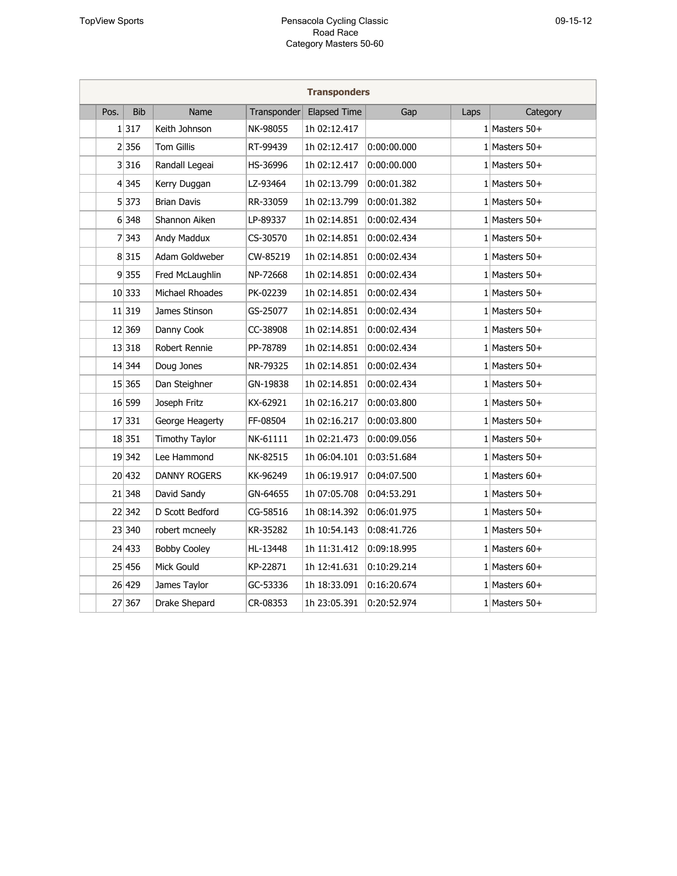| <b>Transponders</b> |            |                       |             |                     |             |      |                   |  |  |  |
|---------------------|------------|-----------------------|-------------|---------------------|-------------|------|-------------------|--|--|--|
| Pos.                | <b>Bib</b> | Name                  | Transponder | <b>Elapsed Time</b> | Gap         | Laps | Category          |  |  |  |
|                     | 1 317      | Keith Johnson         | NK-98055    | 1h 02:12.417        |             |      | 1 Masters $50+$   |  |  |  |
|                     | 2 356      | <b>Tom Gillis</b>     | RT-99439    | 1h 02:12.417        | 0:00:00.000 |      | 1 Masters $50+$   |  |  |  |
|                     | 3 316      | Randall Legeai        | HS-36996    | 1h 02:12.417        | 0:00:00.000 |      | $1$ Masters 50+   |  |  |  |
|                     | 4 345      | Kerry Duggan          | LZ-93464    | 1h 02:13.799        | 0:00:01.382 |      | 1 Masters $50+$   |  |  |  |
|                     | 5 373      | <b>Brian Davis</b>    | RR-33059    | 1h 02:13.799        | 0:00:01.382 |      | 1 Masters $50+$   |  |  |  |
|                     | 6 348      | Shannon Aiken         | LP-89337    | 1h 02:14.851        | 0:00:02.434 |      | 1 Masters $50+$   |  |  |  |
|                     | 7 343      | Andy Maddux           | CS-30570    | 1h 02:14.851        | 0:00:02.434 |      | 1 Masters $50+$   |  |  |  |
|                     | 8 315      | Adam Goldweber        | CW-85219    | 1h 02:14.851        | 0:00:02.434 |      | 1 Masters $50+$   |  |  |  |
|                     | 9 355      | Fred McLaughlin       | NP-72668    | 1h 02:14.851        | 0:00:02.434 |      | 1 Masters $50+$   |  |  |  |
|                     | 10 333     | Michael Rhoades       | PK-02239    | 1h 02:14.851        | 0:00:02.434 |      | $1$   Masters 50+ |  |  |  |
|                     | 11 319     | James Stinson         | GS-25077    | 1h 02:14.851        | 0:00:02.434 |      | 1 Masters $50+$   |  |  |  |
|                     | 12 369     | Danny Cook            | CC-38908    | 1h 02:14.851        | 0:00:02.434 |      | 1 Masters $50+$   |  |  |  |
|                     | 13 318     | Robert Rennie         | PP-78789    | 1h 02:14.851        | 0:00:02.434 |      | 1 Masters $50+$   |  |  |  |
|                     | 14 344     | Doug Jones            | NR-79325    | 1h 02:14.851        | 0:00:02.434 |      | 1 Masters $50+$   |  |  |  |
|                     | 15 365     | Dan Steighner         | GN-19838    | 1h 02:14.851        | 0:00:02.434 |      | 1 Masters $50+$   |  |  |  |
|                     | 16 599     | Joseph Fritz          | KX-62921    | 1h 02:16.217        | 0:00:03.800 |      | 1 Masters $50+$   |  |  |  |
|                     | 17 331     | George Heagerty       | FF-08504    | 1h 02:16.217        | 0:00:03.800 |      | 1 Masters $50+$   |  |  |  |
|                     | 18 351     | <b>Timothy Taylor</b> | NK-61111    | 1h 02:21.473        | 0:00:09.056 |      | 1 Masters $50+$   |  |  |  |
|                     | 19 342     | Lee Hammond           | NK-82515    | 1h 06:04.101        | 0:03:51.684 |      | 1 Masters $50+$   |  |  |  |
|                     | 20 432     | <b>DANNY ROGERS</b>   | KK-96249    | 1h 06:19.917        | 0:04:07.500 |      | 1 Masters $60+$   |  |  |  |
|                     | 21 348     | David Sandy           | GN-64655    | 1h 07:05.708        | 0:04:53.291 |      | 1 Masters $50+$   |  |  |  |
|                     | 22 342     | D Scott Bedford       | CG-58516    | 1h 08:14.392        | 0:06:01.975 |      | 1 Masters $50+$   |  |  |  |
|                     | 23 340     | robert mcneely        | KR-35282    | 1h 10:54.143        | 0:08:41.726 |      | 1 Masters $50+$   |  |  |  |
|                     | 24 433     | <b>Bobby Cooley</b>   | HL-13448    | 1h 11:31.412        | 0:09:18.995 |      | 1 Masters $60+$   |  |  |  |
|                     | 25 456     | Mick Gould            | KP-22871    | 1h 12:41.631        | 0:10:29.214 |      | 1 Masters $60+$   |  |  |  |
|                     | 26 429     | James Taylor          | GC-53336    | 1h 18:33.091        | 0:16:20.674 |      | 1 Masters $60+$   |  |  |  |
|                     | 27 367     | Drake Shepard         | CR-08353    | 1h 23:05.391        | 0:20:52.974 |      | 1 Masters $50+$   |  |  |  |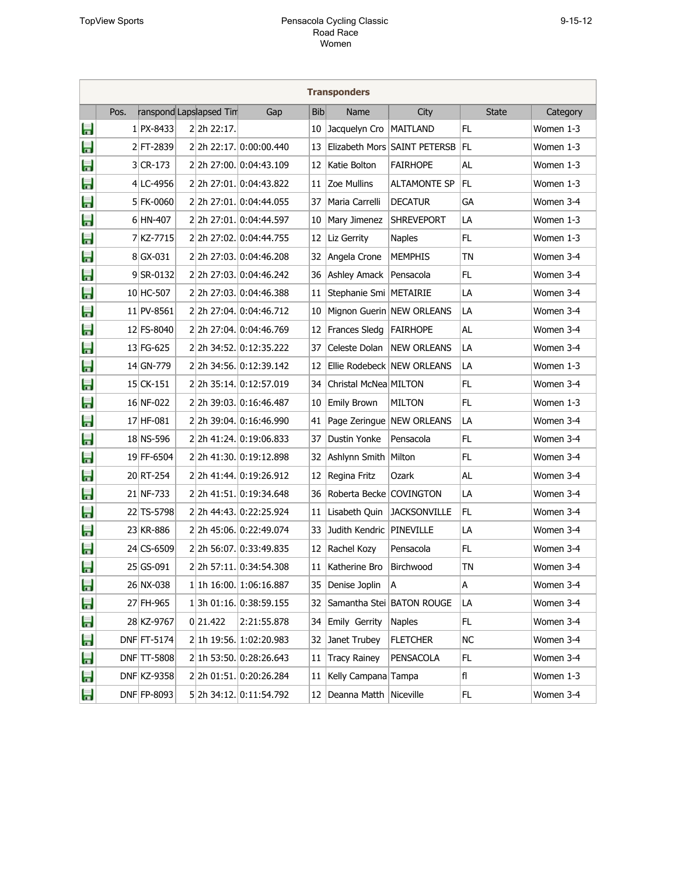|   | <b>Transponders</b> |              |  |                         |                         |            |                            |                              |              |           |
|---|---------------------|--------------|--|-------------------------|-------------------------|------------|----------------------------|------------------------------|--------------|-----------|
|   | Pos.                |              |  | ranspond Lapslapsed Tim | Gap                     | <b>Bib</b> | Name                       | City                         | <b>State</b> | Category  |
| Ħ |                     | $1$ PX-8433  |  | 22h 22:17.              |                         | 10         | Jacquelyn Cro              | <b>MAITLAND</b>              | FL           | Women 1-3 |
| Ħ |                     | $2$ FT-2839  |  |                         | 22h 22:17. 0:00:00.440  | 13         |                            | Elizabeth Mors SAINT PETERSB | FL           | Women 1-3 |
| Ħ |                     | $3$ CR-173   |  |                         | 22h 27:00. 0:04:43.109  | 12         | Katie Bolton               | <b>FAIRHOPE</b>              | <b>AL</b>    | Women 1-3 |
| Ħ |                     | $4$ LC-4956  |  |                         | 22h 27:01. 0:04:43.822  | 11         | Zoe Mullins                | <b>ALTAMONTE SP</b>          | FL           | Women 1-3 |
| E |                     | $5$ FK-0060  |  |                         | 22h 27:01. 0:04:44.055  | 37         | Maria Carrelli             | <b>DECATUR</b>               | GA           | Women 3-4 |
| E |                     | $6$ HN-407   |  |                         | 22h 27:01. 0:04:44.597  | 10         | Mary Jimenez               | <b>SHREVEPORT</b>            | LA           | Women 1-3 |
| Ħ |                     | 7 KZ-7715    |  |                         | 2 2h 27:02. 0:04:44.755 | 12         | Liz Gerrity                | <b>Naples</b>                | FL           | Women 1-3 |
| Ħ |                     | $8 GX-031$   |  |                         | 2 2h 27:03. 0:04:46.208 | 32         | Angela Crone               | <b>MEMPHIS</b>               | TN           | Women 3-4 |
| E |                     | $9$ SR-0132  |  |                         | 2 2h 27:03. 0:04:46.242 | 36         | Ashley Amack               | Pensacola                    | FL           | Women 3-4 |
| Ħ |                     | 10 HC-507    |  |                         | 22h 27:03. 0:04:46.388  | 11         | Stephanie Smi   METAIRIE   |                              | LA           | Women 3-4 |
| E |                     | $11$ PV-8561 |  |                         | 2 2h 27:04. 0:04:46.712 | 10         |                            | Mignon Guerin NEW ORLEANS    | LA           | Women 3-4 |
| Ħ |                     | 12 FS-8040   |  |                         | 2 2h 27:04. 0:04:46.769 | 12         | Frances Sledg              | <b>FAIRHOPE</b>              | AL           | Women 3-4 |
| E |                     | 13 FG-625    |  |                         | 22h 34:52. 0:12:35.222  | 37         | Celeste Dolan              | <b>NEW ORLEANS</b>           | LA           | Women 3-4 |
| E |                     | 14 GN-779    |  |                         | 2 2h 34:56. 0:12:39.142 | 12         |                            | Ellie Rodebeck NEW ORLEANS   | LA           | Women 1-3 |
| E |                     | 15 CK-151    |  |                         | 2 2h 35:14. 0:12:57.019 | 34         | Christal McNea MILTON      |                              | <b>FL</b>    | Women 3-4 |
| Ħ |                     | 16 NF-022    |  |                         | 2 2h 39:03. 0:16:46.487 | 10         | <b>Emily Brown</b>         | MILTON                       | FL           | Women 1-3 |
| E |                     | 17 HF-081    |  |                         | 2 2h 39:04. 0:16:46.990 | 41         |                            | Page Zeringue   NEW ORLEANS  | LA           | Women 3-4 |
| E |                     | 18 NS-596    |  |                         | 2 2h 41:24. 0:19:06.833 | 37         | Dustin Yonke               | Pensacola                    | <b>FL</b>    | Women 3-4 |
| E |                     | 19 FF-6504   |  |                         | 22h 41:30. 0:19:12.898  | 32         | Ashlynn Smith   Milton     |                              | <b>FL</b>    | Women 3-4 |
| Ħ |                     | 20 RT-254    |  |                         | 2 2h 41:44. 0:19:26.912 | 12         | Regina Fritz               | Ozark                        | AL           | Women 3-4 |
| E |                     | 21 NF-733    |  |                         | 2 2h 41:51. 0:19:34.648 | 36         | Roberta Becke COVINGTON    |                              | LA           | Women 3-4 |
| Ħ |                     | 22 TS-5798   |  |                         | 2 2h 44:43. 0:22:25.924 | 11         | Lisabeth Quin              | <b>JACKSONVILLE</b>          | FL           | Women 3-4 |
| E |                     | 23 KR-886    |  |                         | 2 2h 45:06. 0:22:49.074 | 33         | Judith Kendric   PINEVILLE |                              | LA           | Women 3-4 |
| E |                     | 24 CS-6509   |  |                         | 22h 56:07. 0:33:49.835  | 12         | Rachel Kozy                | Pensacola                    | FL           | Women 3-4 |
| E |                     | 25 GS-091    |  |                         | 2 2h 57:11. 0:34:54.308 | 11         | Katherine Bro              | Birchwood                    | <b>TN</b>    | Women 3-4 |
| H |                     | 26 NX-038    |  |                         | 1 1h 16:00. 1:06:16.887 | 35         | Denise Joplin              | A                            | А            | Women 3-4 |
| Ħ |                     | 27 FH-965    |  |                         | 13h 01:16. 0:38:59.155  | 32         |                            | Samantha Stei BATON ROUGE    | LA           | Women 3-4 |
| E |                     | 28 KZ-9767   |  | 0 21.422                | 2:21:55.878             | 34         | Emily Gerrity              | <b>Naples</b>                | FL           | Women 3-4 |
| Ħ |                     | DNF FT-5174  |  |                         | 2 1h 19:56 1:02:20.983  | 32         | Janet Trubey               | <b>FLETCHER</b>              | NС           | Women 3-4 |
| Ħ |                     | DNF TT-5808  |  |                         | 2 1h 53:50. 0:28:26.643 | 11         | <b>Tracy Rainey</b>        | PENSACOLA                    | FL           | Women 3-4 |
| Ħ |                     | DNF KZ-9358  |  |                         | 22h 01:51. 0:20:26.284  | 11         | Kelly Campana Tampa        |                              | fl           | Women 1-3 |
| E |                     | DNF FP-8093  |  |                         | 5 2h 34:12. 0:11:54.792 | 12         | Deanna Matth               | Niceville                    | FL           | Women 3-4 |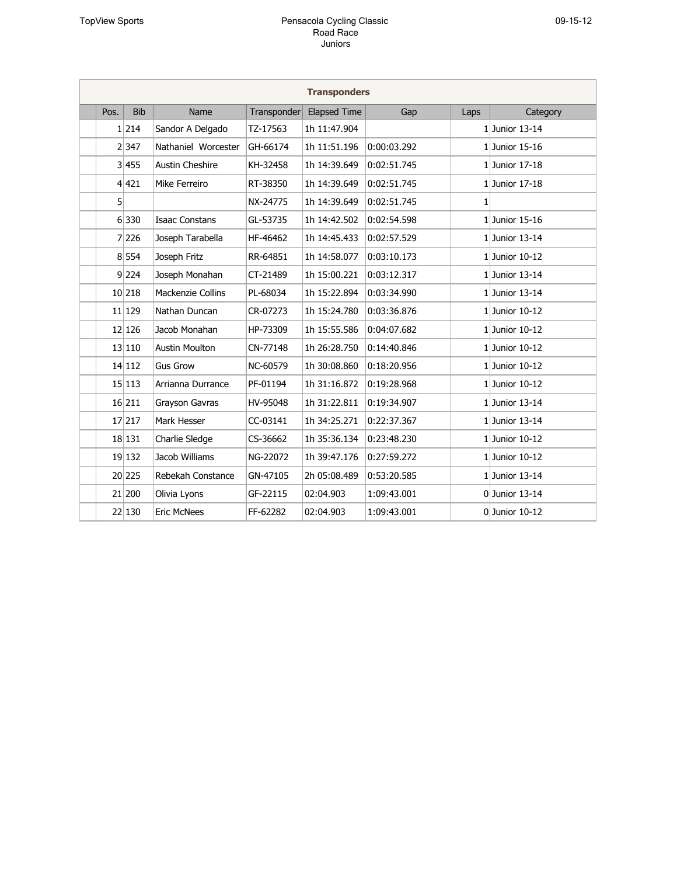| $119 -$<br>1<br>∼ |  |
|-------------------|--|
|-------------------|--|

| <b>Transponders</b> |            |                       |             |                     |             |      |                  |  |  |  |  |  |
|---------------------|------------|-----------------------|-------------|---------------------|-------------|------|------------------|--|--|--|--|--|
| Pos.                | <b>Bib</b> | Name                  | Transponder | <b>Elapsed Time</b> | Gap         | Laps | Category         |  |  |  |  |  |
|                     | 1 214      | Sandor A Delgado      | TZ-17563    | 1h 11:47.904        |             |      | $1$ Junior 13-14 |  |  |  |  |  |
|                     | 2 347      | Nathaniel Worcester   | GH-66174    | 1h 11:51.196        | 0:00:03.292 |      | $1$ Junior 15-16 |  |  |  |  |  |
|                     | 3 455      | Austin Cheshire       | KH-32458    | 1h 14:39.649        | 0:02:51.745 |      | 1 Junior 17-18   |  |  |  |  |  |
|                     | 4 421      | Mike Ferreiro         | RT-38350    | 1h 14:39.649        | 0:02:51.745 |      | $1$ Junior 17-18 |  |  |  |  |  |
| 5 <sup>1</sup>      |            |                       | NX-24775    | 1h 14:39.649        | 0:02:51.745 | 1    |                  |  |  |  |  |  |
|                     | 6 330      | <b>Isaac Constans</b> | GL-53735    | 1h 14:42.502        | 0:02:54.598 |      | $1$ Junior 15-16 |  |  |  |  |  |
|                     | 7 226      | Joseph Tarabella      | HF-46462    | 1h 14:45.433        | 0:02:57.529 |      | 1 Junior $13-14$ |  |  |  |  |  |
|                     | 8 554      | Joseph Fritz          | RR-64851    | 1h 14:58.077        | 0:03:10.173 |      | $1$ Junior 10-12 |  |  |  |  |  |
|                     | 9 224      | Joseph Monahan        | CT-21489    | 1h 15:00.221        | 0:03:12.317 |      | $1$ Junior 13-14 |  |  |  |  |  |
|                     | 10 218     | Mackenzie Collins     | PL-68034    | 1h 15:22.894        | 0:03:34.990 |      | $1$ Junior 13-14 |  |  |  |  |  |
|                     | 11 129     | Nathan Duncan         | CR-07273    | 1h 15:24.780        | 0:03:36.876 |      | $1$ Junior 10-12 |  |  |  |  |  |
|                     | 12 126     | Jacob Monahan         | HP-73309    | 1h 15:55.586        | 0:04:07.682 |      | $1$ Junior 10-12 |  |  |  |  |  |
|                     | 13 110     | <b>Austin Moulton</b> | CN-77148    | 1h 26:28.750        | 0:14:40.846 |      | $1$ Junior 10-12 |  |  |  |  |  |
|                     | 14 112     | <b>Gus Grow</b>       | NC-60579    | 1h 30:08.860        | 0:18:20.956 |      | $1$ Junior 10-12 |  |  |  |  |  |
|                     | 15 113     | Arrianna Durrance     | PF-01194    | 1h 31:16.872        | 0:19:28.968 |      | $1$ Junior 10-12 |  |  |  |  |  |
|                     | 16 211     | Grayson Gavras        | HV-95048    | 1h 31:22.811        | 0:19:34.907 |      | $1$ Junior 13-14 |  |  |  |  |  |
|                     | 17 217     | Mark Hesser           | CC-03141    | 1h 34:25.271        | 0:22:37.367 |      | $1$ Junior 13-14 |  |  |  |  |  |
|                     | 18 131     | Charlie Sledge        | CS-36662    | 1h 35:36.134        | 0:23:48.230 |      | $1$ Junior 10-12 |  |  |  |  |  |
|                     | 19 132     | Jacob Williams        | NG-22072    | 1h 39:47.176        | 0:27:59.272 |      | $1$ Junior 10-12 |  |  |  |  |  |
|                     | 20 225     | Rebekah Constance     | GN-47105    | 2h 05:08.489        | 0:53:20.585 |      | $1$ Junior 13-14 |  |  |  |  |  |
|                     | 21 200     | Olivia Lyons          | GF-22115    | 02:04.903           | 1:09:43.001 |      | $0$ Junior 13-14 |  |  |  |  |  |
|                     | 22 130     | <b>Eric McNees</b>    | FF-62282    | 02:04.903           | 1:09:43.001 |      | $0$ Junior 10-12 |  |  |  |  |  |